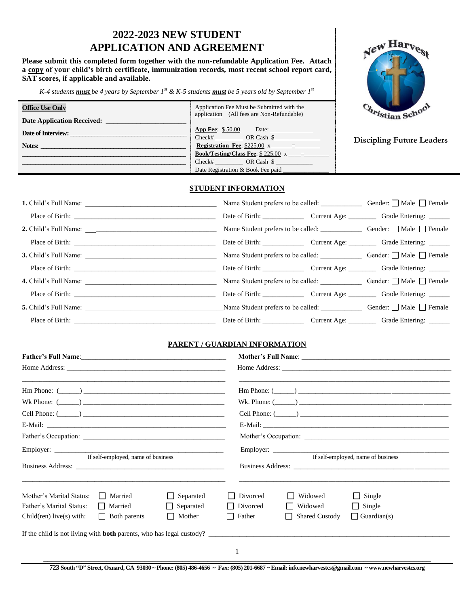# **2022-2023 NEW STUDENT APPLICATION AND AGREEMENT**

**Please submit this completed form together with the non-refundable Application Fee. Attach a copy of your child's birth certificate, immunization records, most recent school report card, SAT scores, if applicable and available.**

*K-4 students must be 4 years by September 1st & K-5 students must be 5 years old by September 1 st*

| <b>Office Use Only</b>            | Application Fee Must be Submitted with the<br>application (All fees are Non-Refundable) | Christian School                 |
|-----------------------------------|-----------------------------------------------------------------------------------------|----------------------------------|
| <b>Date Application Received:</b> |                                                                                         |                                  |
| Date of Interview:                | <b>App Fee:</b> $$50.00$<br>Date: $\qquad \qquad$<br>Check# OR Cash \$                  |                                  |
| Notes:                            | <b>Registration Fee:</b> $$225.00 \text{ x} =$                                          | <b>Discipling Future Leaders</b> |
|                                   | <b>Book/Testing/Class Fee:</b> $$225.00 \text{ x} =$                                    |                                  |
|                                   | Check# OR Cash \$                                                                       |                                  |
|                                   | Date Registration & Book Fee paid                                                       |                                  |

## **STUDENT INFORMATION**

|                       |  | Date of Birth: Current Age: Current Age: Grade Entering: ______                |
|-----------------------|--|--------------------------------------------------------------------------------|
|                       |  | Name Student prefers to be called: <u>Conserverent</u> Gender: □ Male □ Female |
|                       |  | Date of Birth: Current Age: Current Age: Grade Entering: ______                |
|                       |  | Name Student prefers to be called: Gender: □ Male □ Female                     |
|                       |  | Date of Birth: Current Age: Current Age: Grade Entering: ______                |
| 4. Child's Full Name: |  | Name Student prefers to be called: Gender: □ Male □ Female                     |
|                       |  | Date of Birth: Current Age: Current Age: Grade Entering: ______                |
|                       |  |                                                                                |
| Place of Birth:       |  | Date of Birth: Current Age: Current Age: Grade Entering: ______                |

## **PARENT / GUARDIAN INFORMATION**

| $\text{Hm Phone: } (\_\_) \_\_$                                                                            | $\text{Hm Phone: } (\_\_\_\_)$                                                 |
|------------------------------------------------------------------------------------------------------------|--------------------------------------------------------------------------------|
|                                                                                                            |                                                                                |
|                                                                                                            |                                                                                |
|                                                                                                            |                                                                                |
|                                                                                                            |                                                                                |
| If self-employed, name of business                                                                         | If self-employed, name of business                                             |
|                                                                                                            |                                                                                |
| Separated<br>Mother's Marital Status:<br>  Married<br>Father's Marital Status:<br>    Married<br>Separated | Divorced<br>Widowed<br>$\Box$ Single<br>  Divorced<br>Widowed<br>$\Box$ Single |
| $\Box$ Mother<br>$\Box$ Both parents<br>Child(ren) live(s) with:                                           | $\Box$ Father<br><b>Shared Custody</b><br>$\Box$ Guardian(s)                   |
| If the child is not living with <b>both</b> parents, who has legal custody?                                |                                                                                |
|                                                                                                            | 1                                                                              |



**723 South "D" Street, Oxnard, CA 93030 ~ Phone: (805) 486-4656 ~ Fax: (805) 201-6687 ~ Email: info.newharvestcs@gmail.com ~ www.newharvestcs.org**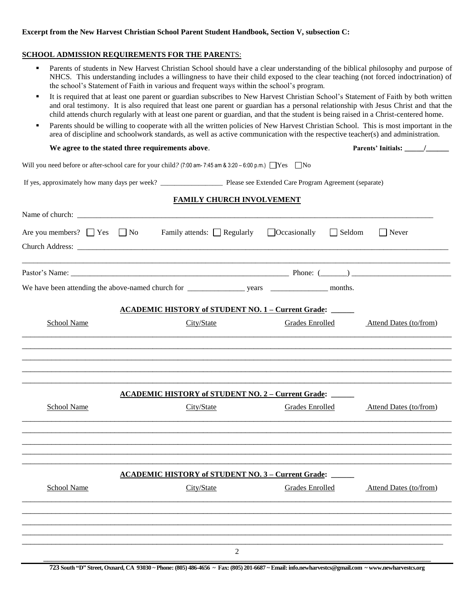## **Excerpt from the New Harvest Christian School Parent Student Handbook, Section V, subsection C:**

### **SCHOOL ADMISSION REQUIREMENTS FOR THE PAREN**TS:

- **Parents of students in New Harvest Christian School should have a clear understanding of the biblical philosophy and purpose of** NHCS. This understanding includes a willingness to have their child exposed to the clear teaching (not forced indoctrination) of the school's Statement of Faith in various and frequent ways within the school's program.
- It is required that at least one parent or guardian subscribes to New Harvest Christian School's Statement of Faith by both written and oral testimony. It is also required that least one parent or guardian has a personal relationship with Jesus Christ and that the child attends church regularly with at least one parent or guardian, and that the student is being raised in a Christ-centered home.
- **Parents should be willing to cooperate with all the written policies of New Harvest Christian School.** This is most important in the area of discipline and schoolwork standards, as well as active communication with the respective teacher(s) and administration.

### **We agree to the stated three requirements above**. **Parents' Initials: \_\_\_\_\_/\_\_\_\_\_\_**

Will you need before or after-school care for your child?  $(7:00 \text{ am} - 7:45 \text{ am } 8:3:20 - 6:00 \text{ p.m.})$  Yes No

If yes, approximately how many days per week? \_\_\_\_\_\_\_\_\_\_\_\_\_\_\_\_\_\_ Please see Extended Care Program Agreement (separate)

## **FAMILY CHURCH INVOLVEMENT**

| Are you members? $\Box$ Yes $\Box$ No | Family attends: $\Box$ Regularly $\Box$ Occasionally      | $\Box$ Seldom          | $\Box$ Never           |
|---------------------------------------|-----------------------------------------------------------|------------------------|------------------------|
|                                       |                                                           |                        |                        |
|                                       |                                                           |                        |                        |
|                                       | <b>ACADEMIC HISTORY of STUDENT NO. 1 - Current Grade:</b> |                        |                        |
| <b>School Name</b>                    | City/State                                                | Grades Enrolled        | Attend Dates (to/from) |
|                                       |                                                           |                        |                        |
|                                       |                                                           |                        |                        |
|                                       |                                                           |                        |                        |
|                                       | <b>ACADEMIC HISTORY of STUDENT NO. 2 – Current Grade:</b> |                        |                        |
| School Name                           | City/State                                                | <b>Grades Enrolled</b> | Attend Dates (to/from) |
|                                       |                                                           |                        |                        |
|                                       |                                                           |                        |                        |
|                                       |                                                           |                        |                        |
|                                       | <b>ACADEMIC HISTORY of STUDENT NO. 3 - Current Grade:</b> |                        |                        |
| <b>School Name</b>                    | City/State                                                | Grades Enrolled        | Attend Dates (to/from) |
|                                       |                                                           |                        |                        |
|                                       |                                                           |                        |                        |
|                                       |                                                           |                        |                        |
|                                       | 2                                                         |                        |                        |

**723 South "D" Street, Oxnard, CA 93030 ~ Phone: (805) 486-4656 ~ Fax: (805) 201-6687 ~ Email: info.newharvestcs@gmail.com ~ www.newharvestcs.org**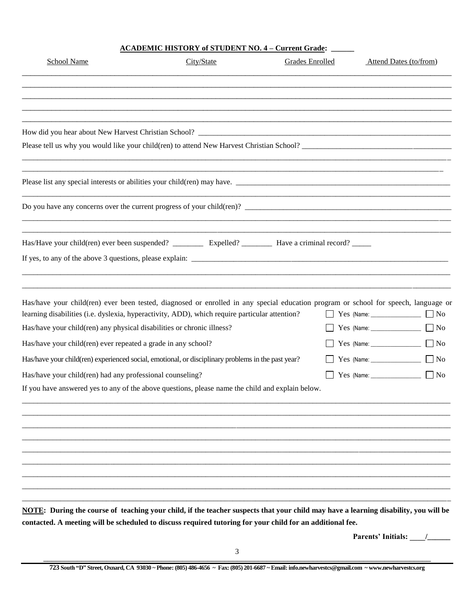## **ACADEMIC HISTORY of STUDENT NO. 4 – Current Grade: \_\_\_\_\_\_**

| City/State | Grades Enrolled                                                                                                                                                                                      | Attend Dates (to/from)                                                                                                                                                                                                                                                                                                                                                                                                                                                                                                                                                                                                                                                                                                                                                          |
|------------|------------------------------------------------------------------------------------------------------------------------------------------------------------------------------------------------------|---------------------------------------------------------------------------------------------------------------------------------------------------------------------------------------------------------------------------------------------------------------------------------------------------------------------------------------------------------------------------------------------------------------------------------------------------------------------------------------------------------------------------------------------------------------------------------------------------------------------------------------------------------------------------------------------------------------------------------------------------------------------------------|
|            |                                                                                                                                                                                                      |                                                                                                                                                                                                                                                                                                                                                                                                                                                                                                                                                                                                                                                                                                                                                                                 |
|            |                                                                                                                                                                                                      |                                                                                                                                                                                                                                                                                                                                                                                                                                                                                                                                                                                                                                                                                                                                                                                 |
|            |                                                                                                                                                                                                      |                                                                                                                                                                                                                                                                                                                                                                                                                                                                                                                                                                                                                                                                                                                                                                                 |
|            |                                                                                                                                                                                                      |                                                                                                                                                                                                                                                                                                                                                                                                                                                                                                                                                                                                                                                                                                                                                                                 |
|            |                                                                                                                                                                                                      |                                                                                                                                                                                                                                                                                                                                                                                                                                                                                                                                                                                                                                                                                                                                                                                 |
|            |                                                                                                                                                                                                      |                                                                                                                                                                                                                                                                                                                                                                                                                                                                                                                                                                                                                                                                                                                                                                                 |
|            |                                                                                                                                                                                                      |                                                                                                                                                                                                                                                                                                                                                                                                                                                                                                                                                                                                                                                                                                                                                                                 |
|            |                                                                                                                                                                                                      |                                                                                                                                                                                                                                                                                                                                                                                                                                                                                                                                                                                                                                                                                                                                                                                 |
|            |                                                                                                                                                                                                      | Yes (Name: $\sqrt{N}$                                                                                                                                                                                                                                                                                                                                                                                                                                                                                                                                                                                                                                                                                                                                                           |
|            |                                                                                                                                                                                                      |                                                                                                                                                                                                                                                                                                                                                                                                                                                                                                                                                                                                                                                                                                                                                                                 |
|            |                                                                                                                                                                                                      |                                                                                                                                                                                                                                                                                                                                                                                                                                                                                                                                                                                                                                                                                                                                                                                 |
|            |                                                                                                                                                                                                      | $Yes$ (Name: $\Box$ No                                                                                                                                                                                                                                                                                                                                                                                                                                                                                                                                                                                                                                                                                                                                                          |
|            |                                                                                                                                                                                                      | Yes (Name: 1997)<br>$\Box$ No                                                                                                                                                                                                                                                                                                                                                                                                                                                                                                                                                                                                                                                                                                                                                   |
|            |                                                                                                                                                                                                      |                                                                                                                                                                                                                                                                                                                                                                                                                                                                                                                                                                                                                                                                                                                                                                                 |
|            |                                                                                                                                                                                                      |                                                                                                                                                                                                                                                                                                                                                                                                                                                                                                                                                                                                                                                                                                                                                                                 |
|            |                                                                                                                                                                                                      |                                                                                                                                                                                                                                                                                                                                                                                                                                                                                                                                                                                                                                                                                                                                                                                 |
|            |                                                                                                                                                                                                      |                                                                                                                                                                                                                                                                                                                                                                                                                                                                                                                                                                                                                                                                                                                                                                                 |
|            |                                                                                                                                                                                                      |                                                                                                                                                                                                                                                                                                                                                                                                                                                                                                                                                                                                                                                                                                                                                                                 |
|            |                                                                                                                                                                                                      |                                                                                                                                                                                                                                                                                                                                                                                                                                                                                                                                                                                                                                                                                                                                                                                 |
|            |                                                                                                                                                                                                      | <b>Parents' Initials:</b>                                                                                                                                                                                                                                                                                                                                                                                                                                                                                                                                                                                                                                                                                                                                                       |
|            | Has/have your child(ren) any physical disabilities or chronic illness?<br>Has/have your child(ren) ever repeated a grade in any school?<br>Has/have your child(ren) had any professional counseling? | Please list any special interests or abilities your child(ren) may have.<br>Has/have your child(ren) ever been tested, diagnosed or enrolled in any special education program or school for speech, language or<br>learning disabilities (i.e. dyslexia, hyperactivity, ADD), which require particular attention?<br>Has/have your child(ren) experienced social, emotional, or disciplinary problems in the past year?<br>If you have answered yes to any of the above questions, please name the child and explain below.<br>NOTE: During the course of teaching your child, if the teacher suspects that your child may have a learning disability, you will be<br>contacted. A meeting will be scheduled to discuss required tutoring for your child for an additional fee. |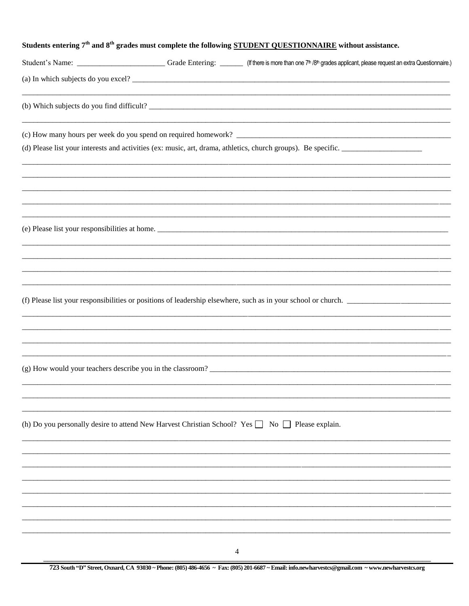| Students entering 7 <sup>th</sup> and 8 <sup>th</sup> grades must complete the following STUDENT QUESTIONNAIRE without assistance. |  |                                                                                                                                                                                           |
|------------------------------------------------------------------------------------------------------------------------------------|--|-------------------------------------------------------------------------------------------------------------------------------------------------------------------------------------------|
|                                                                                                                                    |  | Student's Name: ____________________________Grade Entering: _______ (If there is more than one 7 <sup>th</sup> /8 <sup>th</sup> grades applicant, please request an extra Questionnaire.) |
|                                                                                                                                    |  |                                                                                                                                                                                           |
|                                                                                                                                    |  | (b) Which subjects do you find difficult?                                                                                                                                                 |
|                                                                                                                                    |  |                                                                                                                                                                                           |
|                                                                                                                                    |  | (d) Please list your interests and activities (ex: music, art, drama, athletics, church groups). Be specific.                                                                             |
|                                                                                                                                    |  |                                                                                                                                                                                           |
|                                                                                                                                    |  |                                                                                                                                                                                           |
|                                                                                                                                    |  | (e) Please list your responsibilities at home.                                                                                                                                            |
|                                                                                                                                    |  |                                                                                                                                                                                           |
|                                                                                                                                    |  |                                                                                                                                                                                           |
|                                                                                                                                    |  | (f) Please list your responsibilities or positions of leadership elsewhere, such as in your school or church.                                                                             |
|                                                                                                                                    |  |                                                                                                                                                                                           |
|                                                                                                                                    |  |                                                                                                                                                                                           |
|                                                                                                                                    |  | (g) How would your teachers describe you in the classroom?                                                                                                                                |
|                                                                                                                                    |  |                                                                                                                                                                                           |
|                                                                                                                                    |  | (h) Do you personally desire to attend New Harvest Christian School? Yes $\Box$ No $\Box$ Please explain.                                                                                 |
|                                                                                                                                    |  |                                                                                                                                                                                           |
|                                                                                                                                    |  |                                                                                                                                                                                           |
|                                                                                                                                    |  |                                                                                                                                                                                           |
|                                                                                                                                    |  |                                                                                                                                                                                           |
|                                                                                                                                    |  |                                                                                                                                                                                           |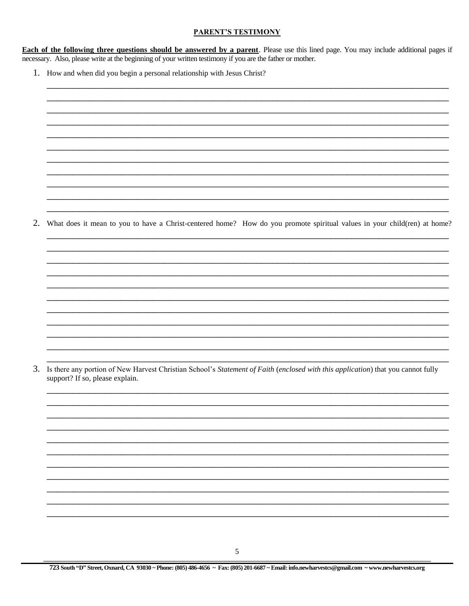## **PARENT'S TESTIMONY**

**Each of the following three questions should be answered by a parent**. Please use this lined page. You may include additional pages if necessary. Also, please write at the beginning of your written testimony if you are the father or mother.

1. How and when did you begin a personal relationship with Jesus Christ?

| <u> 1999 - 1999 - 1999 - 1999 - 1999 - 1999 - 1999 - 1999 - 1999 - 1999 - 1999 - 1999 - 1999 - 1999 - 1999 - 1999 - 19</u> |  |
|----------------------------------------------------------------------------------------------------------------------------|--|
|                                                                                                                            |  |
|                                                                                                                            |  |
|                                                                                                                            |  |
|                                                                                                                            |  |
|                                                                                                                            |  |

2. What does it mean to you to have a Christ-centered home? How do you promote spiritual values in your child(ren) at home?

3. Is there any portion of New Harvest Christian School's Statement of Faith (enclosed with this application) that you cannot fully support? If so, please explain.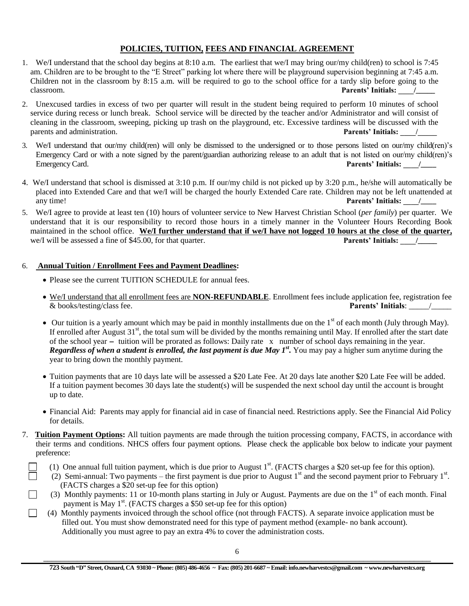## **POLICIES, TUITION, FEES AND FINANCIAL AGREEMENT**

- 1. We/I understand that the school day begins at 8:10 a.m. The earliest that we/I may bring our/my child(ren) to school is 7:45 am. Children are to be brought to the "E Street" parking lot where there will be playground supervision beginning at 7:45 a.m. Children not in the classroom by 8:15 a.m. will be required to go to the school office for a tardy slip before going to the classroom. **Parents' Initials:** /
- 2. Unexcused tardies in excess of two per quarter will result in the student being required to perform 10 minutes of school service during recess or lunch break. School service will be directed by the teacher and/or Administrator and will consist of cleaning in the classroom, sweeping, picking up trash on the playground, etc. Excessive tardiness will be discussed with the parents and administration. **Parents' Initials:**  $\qquad$  /
- 3. We/I understand that our/my child(ren) will only be dismissed to the undersigned or to those persons listed on our/my child(ren)'s Emergency Card or with a note signed by the parent/guardian authorizing release to an adult that is not listed on our/my child(ren)'s Emergency Card. **Parents' Initials:**  $\sqrt{2}$
- 4. We/I understand that school is dismissed at 3:10 p.m. If our/my child is not picked up by 3:20 p.m., he/she will automatically be placed into Extended Care and that we/I will be charged the hourly Extended Care rate. Children may not be left unattended at any time! **Parents' Initials:**  $\qquad$
- 5. We/I agree to provide at least ten (10) hours of volunteer service to New Harvest Christian School (*per family*) per quarter. We understand that it is our responsibility to record those hours in a timely manner in the Volunteer Hours Recording Book maintained in the school office. **We/I further understand that if we/I have not logged 10 hours at the close of the quarter,**  we/I will be assessed a fine of \$45.00, for that quarter. **Parents' Initials:**  $\frac{1}{2}$

## 6. **Annual Tuition / Enrollment Fees and Payment Deadlines:**

- Please see the current TUITION SCHEDULE for annual fees.
- We/I understand that all enrollment fees are **NON-REFUNDABLE**. Enrollment fees include application fee, registration fee & books/testing/class fee. **Parents' Initials**: \_\_\_\_\_/\_\_\_\_\_
- $\bullet$  Our tuition is a yearly amount which may be paid in monthly installments due on the 1<sup>st</sup> of each month (July through May). If enrolled after August  $31<sup>st</sup>$ , the total sum will be divided by the months remaining until May. If enrolled after the start date of the school year **-** tuition will be prorated as follows: Daily rate x number of school days remaining in the year. *Regardless of when a student is enrolled, the last payment is due May 1st .* You may pay a higher sum anytime during the year to bring down the monthly payment.
- Tuition payments that are 10 days late will be assessed a \$20 Late Fee. At 20 days late another \$20 Late Fee will be added. If a tuition payment becomes 30 days late the student(s) will be suspended the next school day until the account is brought up to date.
- Financial Aid: Parents may apply for financial aid in case of financial need. Restrictions apply. See the Financial Aid Policy for details.
- 7. **Tuition Payment Options:** All tuition payments are made through the tuition processing company, FACTS, in accordance with their terms and conditions. NHCS offers four payment options. Please check the applicable box below to indicate your payment preference:
- $\Box$  (1) One annual full tuition payment, which is due prior to August 1<sup>st</sup>. (FACTS charges a \$20 set-up fee for this option).
- (2) Semi-annual: Two payments the first payment is due prior to August  $1<sup>st</sup>$  and the second payment prior to February  $1<sup>st</sup>$ . (FACTS charges a \$20 set-up fee for this option)
	- (3) Monthly payments: 11 or 10-month plans starting in July or August. Payments are due on the  $1<sup>st</sup>$  of each month. Final payment is May 1<sup>st</sup>. (FACTS charges a \$50 set-up fee for this option)
	- $\Box$  (4) Monthly payments invoiced through the school office (not through FACTS). A separate invoice application must be filled out. You must show demonstrated need for this type of payment method (example- no bank account). Additionally you must agree to pay an extra 4% to cover the administration costs.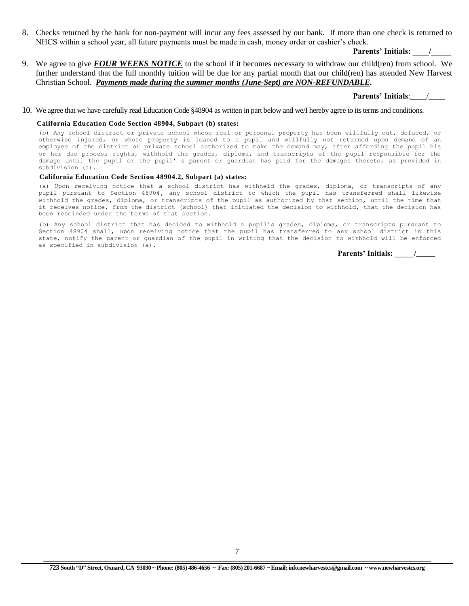8. Checks returned by the bank for non-payment will incur any fees assessed by our bank. If more than one check is returned to NHCS within a school year, all future payments must be made in cash, money order or cashier's check.

#### **Parents' Initials: \_\_\_\_/\_\_\_\_\_**

9. We agree to give *FOUR WEEKS NOTICE* to the school if it becomes necessary to withdraw our child(ren) from school. We further understand that the full monthly tuition will be due for any partial month that our child(ren) has attended New Harvest Christian School. *Payments made during the summer months (June-Sept) are NON-REFUNDABLE.*

### **Parents' Initials**:\_\_\_\_/\_\_\_\_

10. We agree that we have carefully read Education Code §48904 as written in part below and we/I hereby agree to its terms and conditions.

#### **California Education Code Section 48904, Subpart (b) states:**

(b) Any school district or private school whose real or personal property has been willfully cut, defaced, or otherwise injured, or whose property is loaned to a pupil and willfully not returned upon demand of an employee of the district or private school authorized to make the demand may, after affording the pupil his or her due process rights, withhold the grades, diploma, and transcripts of the pupil responsible for the damage until the pupil or the pupil' s parent or guardian has paid for the damages thereto, as provided in subdivision (a).

#### **California Education Code Section 48904.2, Subpart (a) states:**

(a) Upon receiving notice that a school district has withheld the grades, diploma, or transcripts of any pupil pursuant to Section 48904**,** any school district to which the pupil has transferred shall likewise withhold the grades, diploma, or transcripts of the pupil as authorized by that section, until the time that it receives notice, from the district (school) that initiated the decision to withhold, that the decision has been rescinded under the terms of that section**.**

(b) Any school district that has decided to withhold a pupil's grades, diploma, or transcripts pursuant to Section 48904 shall, upon receiving notice that the pupil has transferred to any school district in this state, notify the parent or guardian of the pupil in writing that the decision to withhold will be enforced as specified in subdivision (a).

**Parents' Initials: \_\_\_\_\_/\_\_\_\_\_**